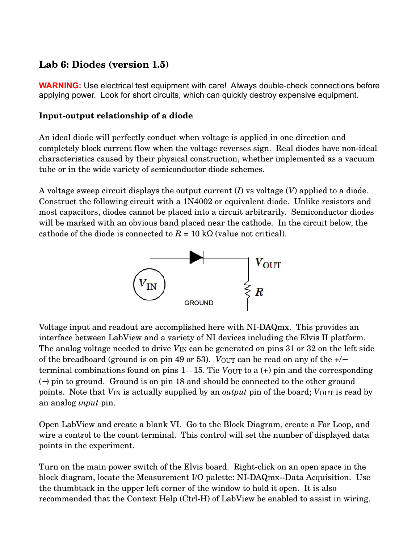## **Lab 6: Diodes (version 1.5)**

**WARNING:** Use electrical test equipment with care! Always double-check connections before applying power. Look for short circuits, which can quickly destroy expensive equipment.

## **Input-output relationship of a diode**

An ideal diode will perfectly conduct when voltage is applied in one direction and completely block current flow when the voltage reverses sign. Real diodes have non-ideal characteristics caused by their physical construction, whether implemented as a vacuum tube or in the wide variety of semiconductor diode schemes.

A voltage sweep circuit displays the output current (*I*) vs voltage (*V*) applied to a diode. Construct the following circuit with a 1N4002 or equivalent diode. Unlike resistors and most capacitors, diodes cannot be placed into a circuit arbitrarily. Semiconductor diodes will be marked with an obvious band placed near the cathode. In the circuit below, the cathode of the diode is connected to  $R = 10 \text{ k}\Omega$  (value not critical).



Voltage input and readout are accomplished here with NI-DAQmx. This provides an interface between LabView and a variety of NI devices including the Elvis II platform. The analog voltage needed to drive  $V_{\text{IN}}$  can be generated on pins 31 or 32 on the left side of the breadboard (ground is on pin 49 or 53). *V*OUT can be read on any of the +/− terminal combinations found on pins  $1-15$ . Tie  $V_{\text{OUT}}$  to a  $(+)$  pin and the corresponding (−) pin to ground. Ground is on pin 18 and should be connected to the other ground points. Note that *VIN* is actually supplied by an *output* pin of the board; *VOUT* is read by an analog *input* pin.

Open LabView and create a blank VI. Go to the Block Diagram, create a For Loop, and wire a control to the count terminal. This control will set the number of displayed data points in the experiment.

Turn on the main power switch of the Elvis board. Right-click on an open space in the block diagram, locate the Measurement I/O palette: NI-DAQmx--Data Acquisition. Use the thumbtack in the upper left corner of the window to hold it open. It is also recommended that the Context Help (Ctrl-H) of LabView be enabled to assist in wiring.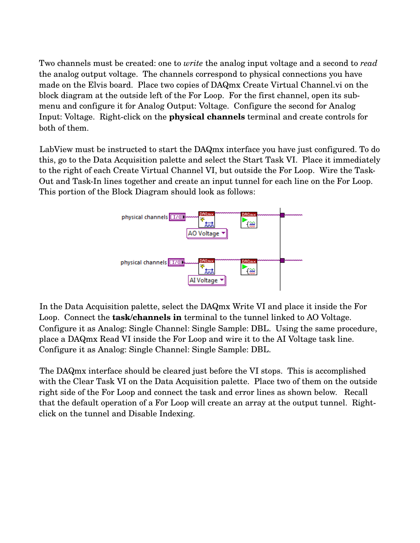Two channels must be created: one to *write* the analog input voltage and a second to *read* the analog output voltage. The channels correspond to physical connections you have made on the Elvis board. Place two copies of DAQmx Create Virtual Channel.vi on the block diagram at the outside left of the For Loop. For the first channel, open its submenu and configure it for Analog Output: Voltage. Configure the second for Analog Input: Voltage. Right-click on the **physical channels** terminal and create controls for both of them.

LabView must be instructed to start the DAQmx interface you have just configured. To do this, go to the Data Acquisition palette and select the Start Task VI. Place it immediately to the right of each Create Virtual Channel VI, but outside the For Loop. Wire the Task-Out and Task-In lines together and create an input tunnel for each line on the For Loop. This portion of the Block Diagram should look as follows:



In the Data Acquisition palette, select the DAQmx Write VI and place it inside the For Loop. Connect the **task/channels in** terminal to the tunnel linked to AO Voltage. Configure it as Analog: Single Channel: Single Sample: DBL. Using the same procedure, place a DAQmx Read VI inside the For Loop and wire it to the AI Voltage task line. Configure it as Analog: Single Channel: Single Sample: DBL.

The DAQmx interface should be cleared just before the VI stops. This is accomplished with the Clear Task VI on the Data Acquisition palette. Place two of them on the outside right side of the For Loop and connect the task and error lines as shown below. Recall that the default operation of a For Loop will create an array at the output tunnel. Rightclick on the tunnel and Disable Indexing.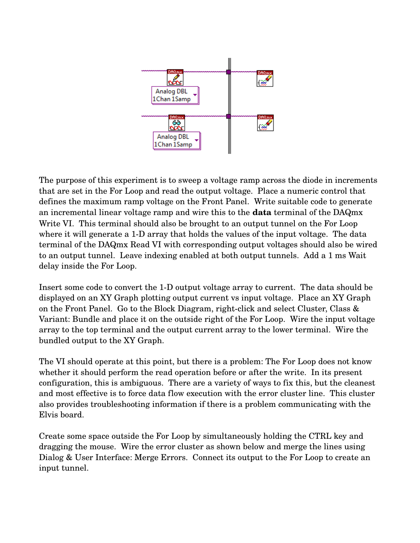

The purpose of this experiment is to sweep a voltage ramp across the diode in increments that are set in the For Loop and read the output voltage. Place a numeric control that defines the maximum ramp voltage on the Front Panel. Write suitable code to generate an incremental linear voltage ramp and wire this to the **data** terminal of the DAQmx Write VI. This terminal should also be brought to an output tunnel on the For Loop where it will generate a 1-D array that holds the values of the input voltage. The data terminal of the DAQmx Read VI with corresponding output voltages should also be wired to an output tunnel. Leave indexing enabled at both output tunnels. Add a 1 ms Wait delay inside the For Loop.

Insert some code to convert the 1-D output voltage array to current. The data should be displayed on an XY Graph plotting output current vs input voltage. Place an XY Graph on the Front Panel. Go to the Block Diagram, right-click and select Cluster, Class  $\&$ Variant: Bundle and place it on the outside right of the For Loop. Wire the input voltage array to the top terminal and the output current array to the lower terminal. Wire the bundled output to the XY Graph.

The VI should operate at this point, but there is a problem: The For Loop does not know whether it should perform the read operation before or after the write. In its present configuration, this is ambiguous. There are a variety of ways to fix this, but the cleanest and most effective is to force data flow execution with the error cluster line. This cluster also provides troubleshooting information if there is a problem communicating with the Elvis board.

Create some space outside the For Loop by simultaneously holding the CTRL key and dragging the mouse. Wire the error cluster as shown below and merge the lines using Dialog & User Interface: Merge Errors. Connect its output to the For Loop to create an input tunnel.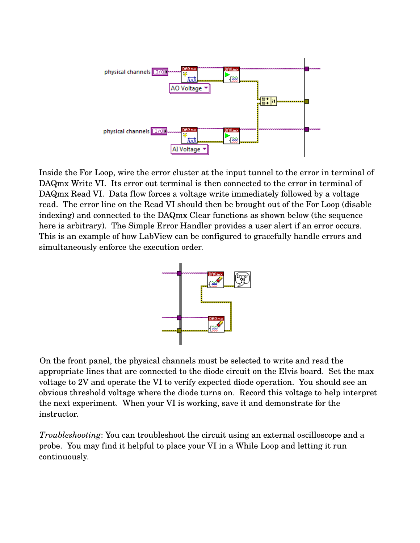

Inside the For Loop, wire the error cluster at the input tunnel to the error in terminal of DAQmx Write VI. Its error out terminal is then connected to the error in terminal of DAQmx Read VI. Data flow forces a voltage write immediately followed by a voltage read. The error line on the Read VI should then be brought out of the For Loop (disable indexing) and connected to the DAQmx Clear functions as shown below (the sequence here is arbitrary). The Simple Error Handler provides a user alert if an error occurs. This is an example of how LabView can be configured to gracefully handle errors and simultaneously enforce the execution order.



On the front panel, the physical channels must be selected to write and read the appropriate lines that are connected to the diode circuit on the Elvis board. Set the max voltage to 2V and operate the VI to verify expected diode operation. You should see an obvious threshold voltage where the diode turns on. Record this voltage to help interpret the next experiment. When your VI is working, save it and demonstrate for the instructor.

*Troubleshooting*: You can troubleshoot the circuit using an external oscilloscope and a probe. You may find it helpful to place your VI in a While Loop and letting it run continuously.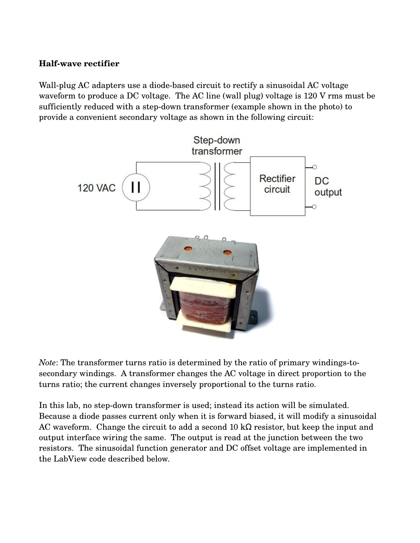## **Half-wave rectifier**

Wall-plug AC adapters use a diode-based circuit to rectify a sinusoidal AC voltage waveform to produce a DC voltage. The AC line (wall plug) voltage is 120 V rms must be sufficiently reduced with a step-down transformer (example shown in the photo) to provide a convenient secondary voltage as shown in the following circuit:



*Note*: The transformer turns ratio is determined by the ratio of primary windings-tosecondary windings. A transformer changes the AC voltage in direct proportion to the turns ratio; the current changes inversely proportional to the turns ratio.

In this lab, no step-down transformer is used; instead its action will be simulated. Because a diode passes current only when it is forward biased, it will modify a sinusoidal AC waveform. Change the circuit to add a second 10 kΩ resistor, but keep the input and output interface wiring the same. The output is read at the junction between the two resistors. The sinusoidal function generator and DC offset voltage are implemented in the LabView code described below.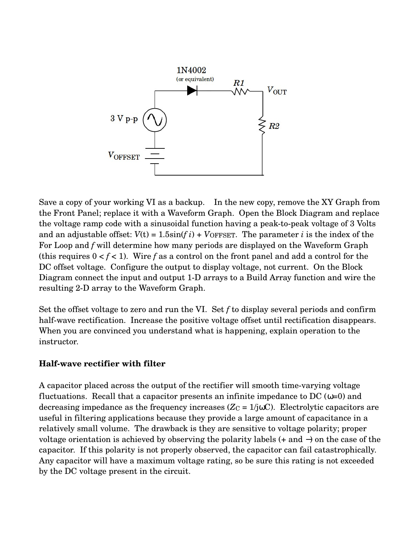

Save a copy of your working VI as a backup. In the new copy, remove the XY Graph from the Front Panel; replace it with a Waveform Graph. Open the Block Diagram and replace the voltage ramp code with a sinusoidal function having a peak-to-peak voltage of 3 Volts and an adjustable offset:  $V(t) = 1.5\sin(f i) + V_{OFFSET}$ . The parameter *i* is the index of the For Loop and *f* will determine how many periods are displayed on the Waveform Graph (this requires  $0 < f < 1$ ). Wire f as a control on the front panel and add a control for the DC offset voltage. Configure the output to display voltage, not current. On the Block Diagram connect the input and output 1-D arrays to a Build Array function and wire the resulting 2-D array to the Waveform Graph.

Set the offset voltage to zero and run the VI. Set *f* to display several periods and confirm half-wave rectification. Increase the positive voltage offset until rectification disappears. When you are convinced you understand what is happening, explain operation to the instructor.

## **Halfwave rectifier with filter**

A capacitor placed across the output of the rectifier will smooth time-varying voltage fluctuations. Recall that a capacitor presents an infinite impedance to DC ( $\omega$ =0) and decreasing impedance as the frequency increases  $(Z<sub>C</sub> = 1/j<sub>0</sub>C)$ . Electrolytic capacitors are useful in filtering applications because they provide a large amount of capacitance in a relatively small volume. The drawback is they are sensitive to voltage polarity; proper voltage orientation is achieved by observing the polarity labels (+ and −) on the case of the capacitor. If this polarity is not properly observed, the capacitor can fail catastrophically. Any capacitor will have a maximum voltage rating, so be sure this rating is not exceeded by the DC voltage present in the circuit.